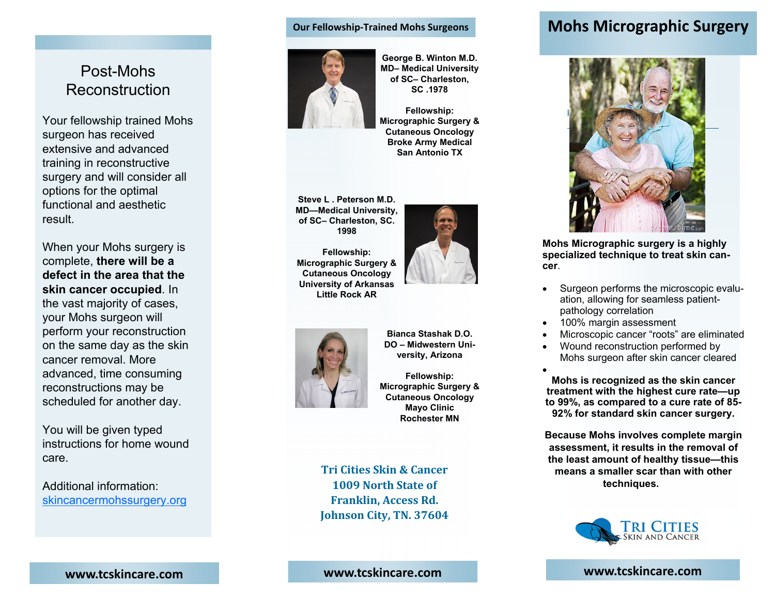# Post-Mohs Reconstruction

Your fellowship trained Mohs surgeon has received extensive and advanced training in reconstructive surgery and will consider all options for the optimal functional and aesthetic result.

When your Mohs surgery is complete, **there will be a defect in the area that the skin cancer occupied**. In the vast majority of cases, your Mohs surgeon will perform your reconstruction on the same day as the skin cancer removal. More advanced, time consuming reconstructions may be scheduled for another day.

You will be given typed instructions for home wound care.

Additional information: skincancermohssurgery.org

#### **Our Fellowship‐Trained Mohs Surgeons**



**George B. Winton M.D. MD– Medical University of SC– Charleston, SC .1978** 

**Fellowship: Micrographic Surgery & Cutaneous Oncology Broke Army Medical San Antonio TX**

**Steve L . Peterson M.D. MD—Medical University, of SC– Charleston, SC. 1998** 





**Bianca Stashak D.O. DO – Midwestern University, Arizona** 

**Fellowship: Micrographic Surgery & Cutaneous Oncology Mayo Clinic Rochester MN**

**Tri Cities Skin& Cancer 1009 North State of Franklin, Access Rd. Johnson City, TN. 37604**

# **Mohs Micrographic Surgery**



**Mohs Micrographic surgery is a highly specialized technique to treat skin cancer**.

- . Surgeon performs the microscopic evaluation, allowing for seamless patientpathology correlation
- $\bullet$ 100% margin assessment
- $\bullet$ Microscopic cancer "roots" are eliminated
- $\bullet$  Wound reconstruction performed by Mohs surgeon after skin cancer cleared

 $\bullet$ **Mohs is recognized as the skin cancer treatment with the highest cure rate—up to 99%, as compared to a cure rate of 85- 92% for standard skin cancer surgery.** 

**Because Mohs involves complete margin assessment, it results in the removal of the least amount of healthy tissue—this means a smaller scar than with other** techniques.



**www.tcskincare.com**

**www.tcskincare.com**

## **www.tcskincare.com**